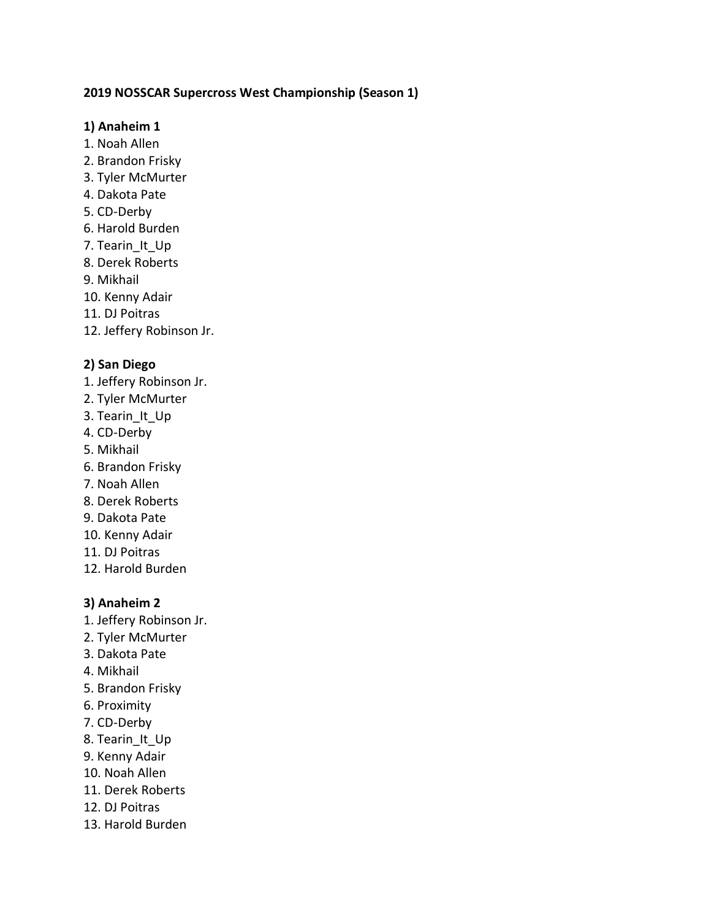#### **2019 NOSSCAR Supercross West Championship (Season 1)**

#### **1) Anaheim 1**

- 1. Noah Allen
- 2. Brandon Frisky
- 3. Tyler McMurter
- 4. Dakota Pate
- 5. CD-Derby
- 6. Harold Burden
- 7. Tearin It Up
- 8. Derek Roberts
- 9. Mikhail
- 10. Kenny Adair
- 11. DJ Poitras
- 12. Jeffery Robinson Jr.

#### **2) San Diego**

- 1. Jeffery Robinson Jr.
- 2. Tyler McMurter
- 3. Tearin It Up
- 4. CD-Derby
- 5. Mikhail
- 6. Brandon Frisky
- 7. Noah Allen
- 8. Derek Roberts
- 9. Dakota Pate
- 10. Kenny Adair
- 11. DJ Poitras
- 12. Harold Burden

#### **3) Anaheim 2**

- 1. Jeffery Robinson Jr.
- 2. Tyler McMurter
- 3. Dakota Pate
- 4. Mikhail
- 5. Brandon Frisky
- 6. Proximity
- 7. CD-Derby
- 8. Tearin\_It\_Up
- 9. Kenny Adair
- 10. Noah Allen
- 11. Derek Roberts
- 12. DJ Poitras
- 13. Harold Burden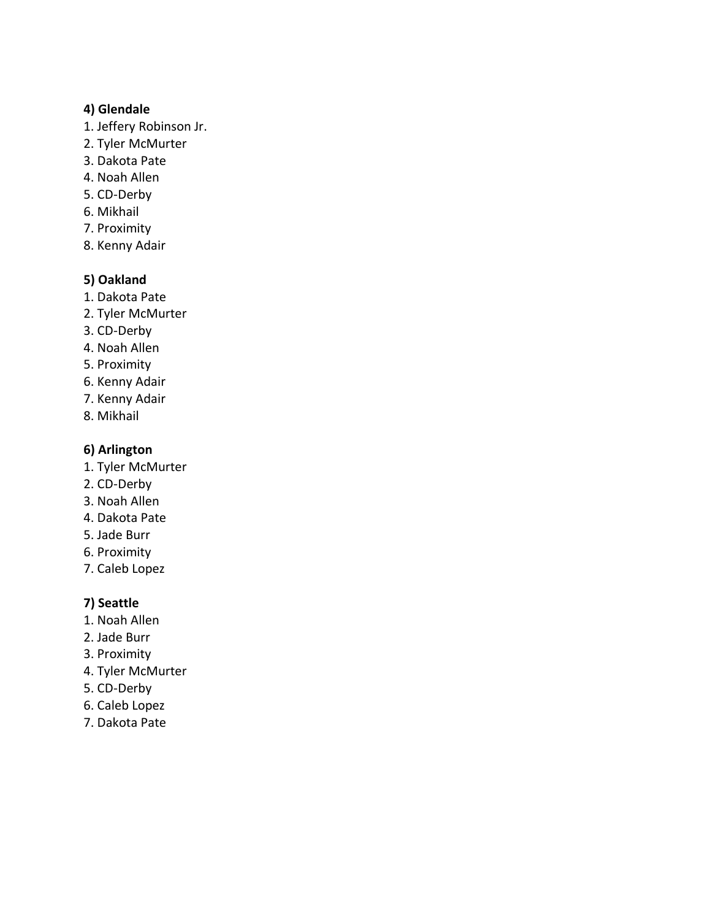#### **4) Glendale**

- 1. Jeffery Robinson Jr.
- 2. Tyler McMurter
- 3. Dakota Pate
- 4. Noah Allen
- 5. CD-Derby
- 6. Mikhail
- 7. Proximity
- 8. Kenny Adair

### **5) Oakland**

- 1. Dakota Pate
- 2. Tyler McMurter
- 3. CD-Derby
- 4. Noah Allen
- 5. Proximity
- 6. Kenny Adair
- 7. Kenny Adair
- 8. Mikhail

## **6) Arlington**

- 1. Tyler McMurter
- 2. CD-Derby
- 3. Noah Allen
- 4. Dakota Pate
- 5. Jade Burr
- 6. Proximity
- 7. Caleb Lopez

### **7) Seattle**

- 1. Noah Allen
- 2. Jade Burr
- 3. Proximity
- 4. Tyler McMurter
- 5. CD-Derby
- 6. Caleb Lopez
- 7. Dakota Pate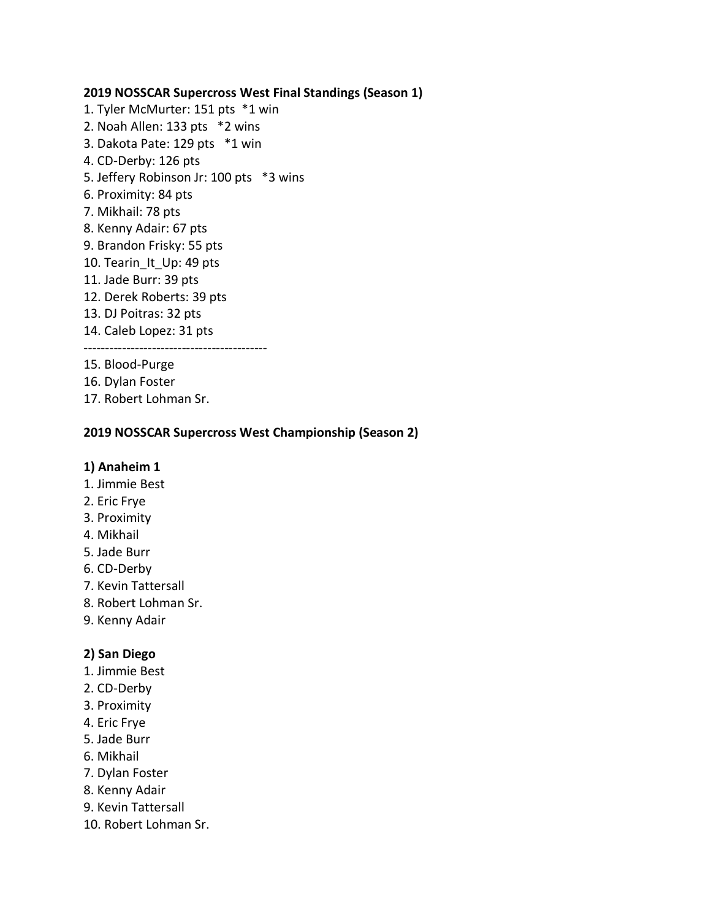# **2019 NOSSCAR Supercross West Final Standings (Season 1)**

- 1. Tyler McMurter: 151 pts \*1 win 2. Noah Allen: 133 pts \*2 wins 3. Dakota Pate: 129 pts \*1 win 4. CD-Derby: 126 pts 5. Jeffery Robinson Jr: 100 pts \*3 wins 6. Proximity: 84 pts 7. Mikhail: 78 pts 8. Kenny Adair: 67 pts 9. Brandon Frisky: 55 pts 10. Tearin It Up: 49 pts 11. Jade Burr: 39 pts 12. Derek Roberts: 39 pts 13. DJ Poitras: 32 pts 14. Caleb Lopez: 31 pts -------------------------------------------
- 15. Blood-Purge
- 16. Dylan Foster
- 17. Robert Lohman Sr.

#### **2019 NOSSCAR Supercross West Championship (Season 2)**

#### **1) Anaheim 1**

- 1. Jimmie Best
- 2. Eric Frye
- 3. Proximity
- 4. Mikhail
- 5. Jade Burr
- 6. CD-Derby
- 7. Kevin Tattersall
- 8. Robert Lohman Sr.
- 9. Kenny Adair

#### **2) San Diego**

- 1. Jimmie Best
- 2. CD-Derby
- 3. Proximity
- 4. Eric Frye
- 5. Jade Burr
- 6. Mikhail
- 7. Dylan Foster
- 8. Kenny Adair
- 9. Kevin Tattersall
- 10. Robert Lohman Sr.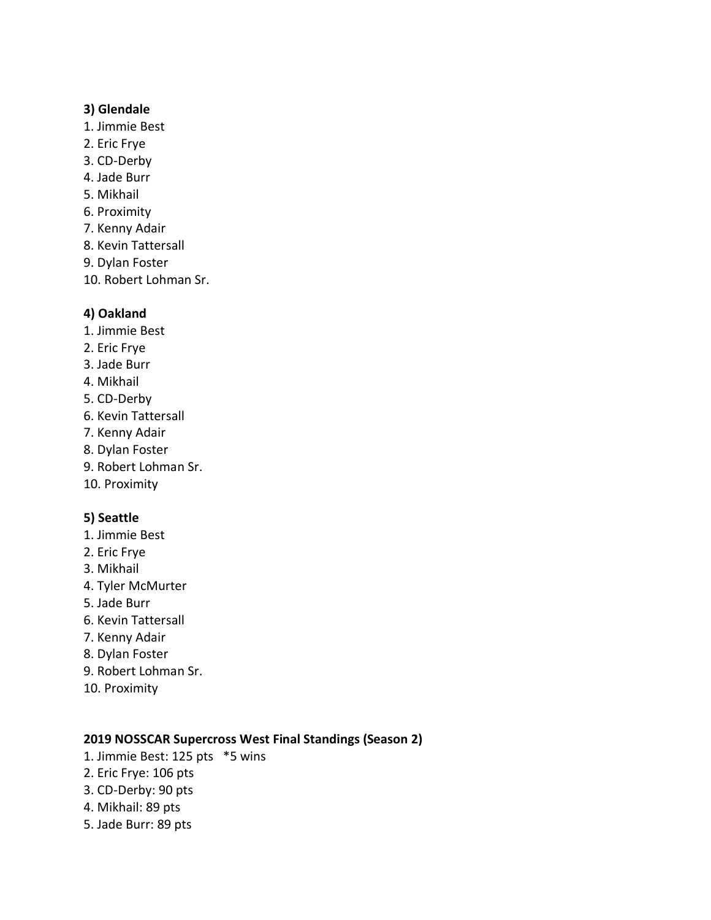#### **3) Glendale**

- 1. Jimmie Best
- 2. Eric Frye
- 3. CD-Derby
- 4. Jade Burr
- 5. Mikhail
- 6. Proximity
- 7. Kenny Adair
- 8. Kevin Tattersall
- 9. Dylan Foster
- 10. Robert Lohman Sr.

#### **4) Oakland**

- 1. Jimmie Best
- 2. Eric Frye
- 3. Jade Burr
- 4. Mikhail
- 5. CD-Derby
- 6. Kevin Tattersall
- 7. Kenny Adair
- 8. Dylan Foster
- 9. Robert Lohman Sr.
- 10. Proximity

#### **5) Seattle**

- 1. Jimmie Best
- 2. Eric Frye
- 3. Mikhail
- 4. Tyler McMurter
- 5. Jade Burr
- 6. Kevin Tattersall
- 7. Kenny Adair
- 8. Dylan Foster
- 9. Robert Lohman Sr.
- 10. Proximity

#### **2019 NOSSCAR Supercross West Final Standings (Season 2)**

- 1. Jimmie Best: 125 pts \*5 wins
- 2. Eric Frye: 106 pts
- 3. CD-Derby: 90 pts
- 4. Mikhail: 89 pts
- 5. Jade Burr: 89 pts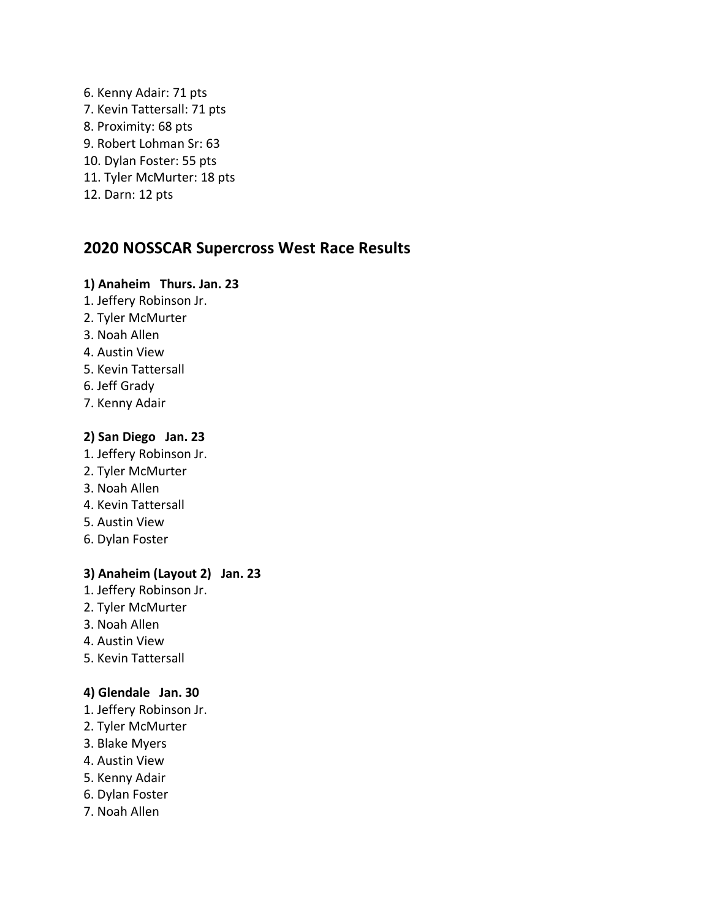6. Kenny Adair: 71 pts 7. Kevin Tattersall: 71 pts 8. Proximity: 68 pts 9. Robert Lohman Sr: 63 10. Dylan Foster: 55 pts 11. Tyler McMurter: 18 pts 12. Darn: 12 pts

# **2020 NOSSCAR Supercross West Race Results**

#### **1) Anaheim Thurs. Jan. 23**

- 1. Jeffery Robinson Jr.
- 2. Tyler McMurter
- 3. Noah Allen
- 4. Austin View
- 5. Kevin Tattersall
- 6. Jeff Grady
- 7. Kenny Adair

#### **2) San Diego Jan. 23**

- 1. Jeffery Robinson Jr.
- 2. Tyler McMurter
- 3. Noah Allen
- 4. Kevin Tattersall
- 5. Austin View
- 6. Dylan Foster

#### **3) Anaheim (Layout 2) Jan. 23**

- 1. Jeffery Robinson Jr.
- 2. Tyler McMurter
- 3. Noah Allen
- 4. Austin View
- 5. Kevin Tattersall

#### **4) Glendale Jan. 30**

- 1. Jeffery Robinson Jr.
- 2. Tyler McMurter
- 3. Blake Myers
- 4. Austin View
- 5. Kenny Adair
- 6. Dylan Foster
- 7. Noah Allen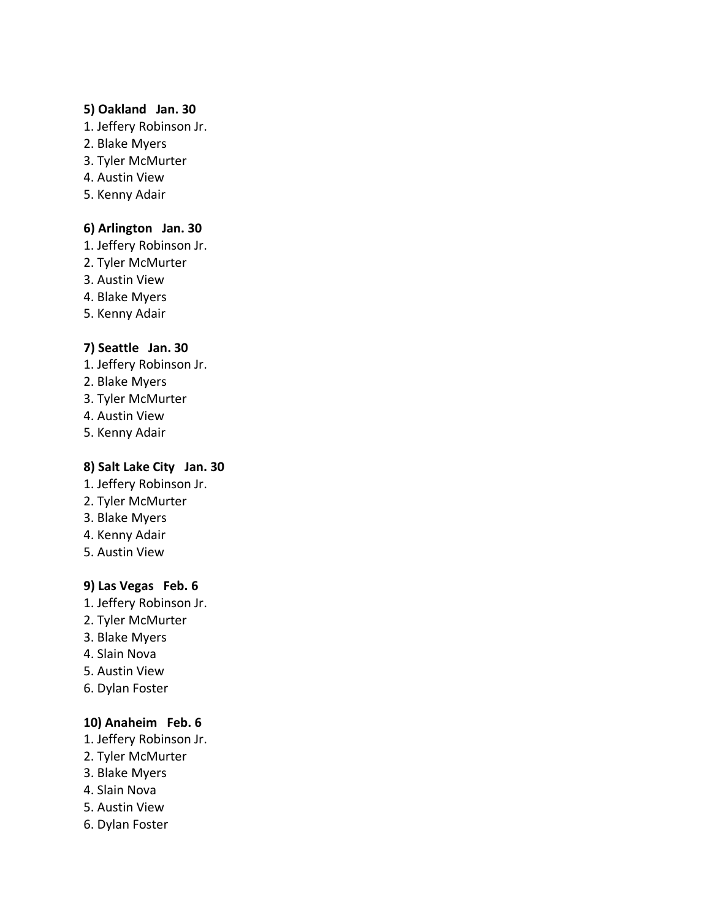#### **5) Oakland Jan. 30**

- 1. Jeffery Robinson Jr.
- 2. Blake Myers
- 3. Tyler McMurter
- 4. Austin View
- 5. Kenny Adair

#### **6) Arlington Jan. 30**

- 1. Jeffery Robinson Jr.
- 2. Tyler McMurter
- 3. Austin View
- 4. Blake Myers
- 5. Kenny Adair

#### **7) Seattle Jan. 30**

- 1. Jeffery Robinson Jr.
- 2. Blake Myers
- 3. Tyler McMurter
- 4. Austin View
- 5. Kenny Adair

#### **8) Salt Lake City Jan. 30**

- 1. Jeffery Robinson Jr.
- 2. Tyler McMurter
- 3. Blake Myers
- 4. Kenny Adair
- 5. Austin View

#### **9) Las Vegas Feb. 6**

- 1. Jeffery Robinson Jr.
- 2. Tyler McMurter
- 3. Blake Myers
- 4. Slain Nova
- 5. Austin View
- 6. Dylan Foster

#### **10) Anaheim Feb. 6**

- 1. Jeffery Robinson Jr.
- 2. Tyler McMurter
- 3. Blake Myers
- 4. Slain Nova
- 5. Austin View
- 6. Dylan Foster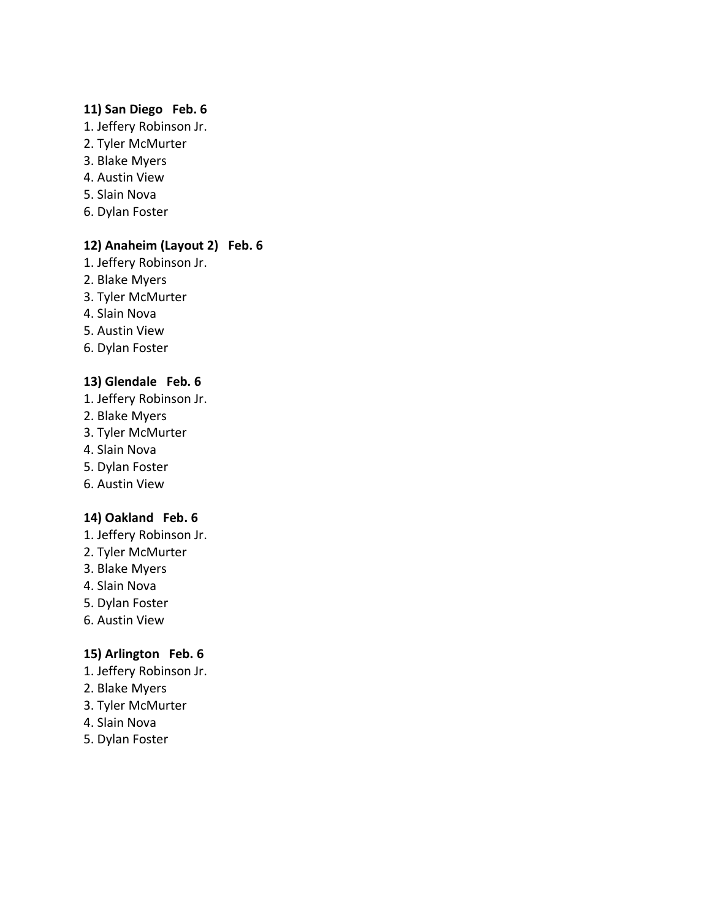#### **11) San Diego Feb. 6**

- 1. Jeffery Robinson Jr.
- 2. Tyler McMurter
- 3. Blake Myers
- 4. Austin View
- 5. Slain Nova
- 6. Dylan Foster

#### **12) Anaheim (Layout 2) Feb. 6**

- 1. Jeffery Robinson Jr.
- 2. Blake Myers
- 3. Tyler McMurter
- 4. Slain Nova
- 5. Austin View
- 6. Dylan Foster

#### **13) Glendale Feb. 6**

- 1. Jeffery Robinson Jr.
- 2. Blake Myers
- 3. Tyler McMurter
- 4. Slain Nova
- 5. Dylan Foster
- 6. Austin View

#### **14) Oakland Feb. 6**

- 1. Jeffery Robinson Jr.
- 2. Tyler McMurter
- 3. Blake Myers
- 4. Slain Nova
- 5. Dylan Foster
- 6. Austin View

#### **15) Arlington Feb. 6**

- 1. Jeffery Robinson Jr.
- 2. Blake Myers
- 3. Tyler McMurter
- 4. Slain Nova
- 5. Dylan Foster